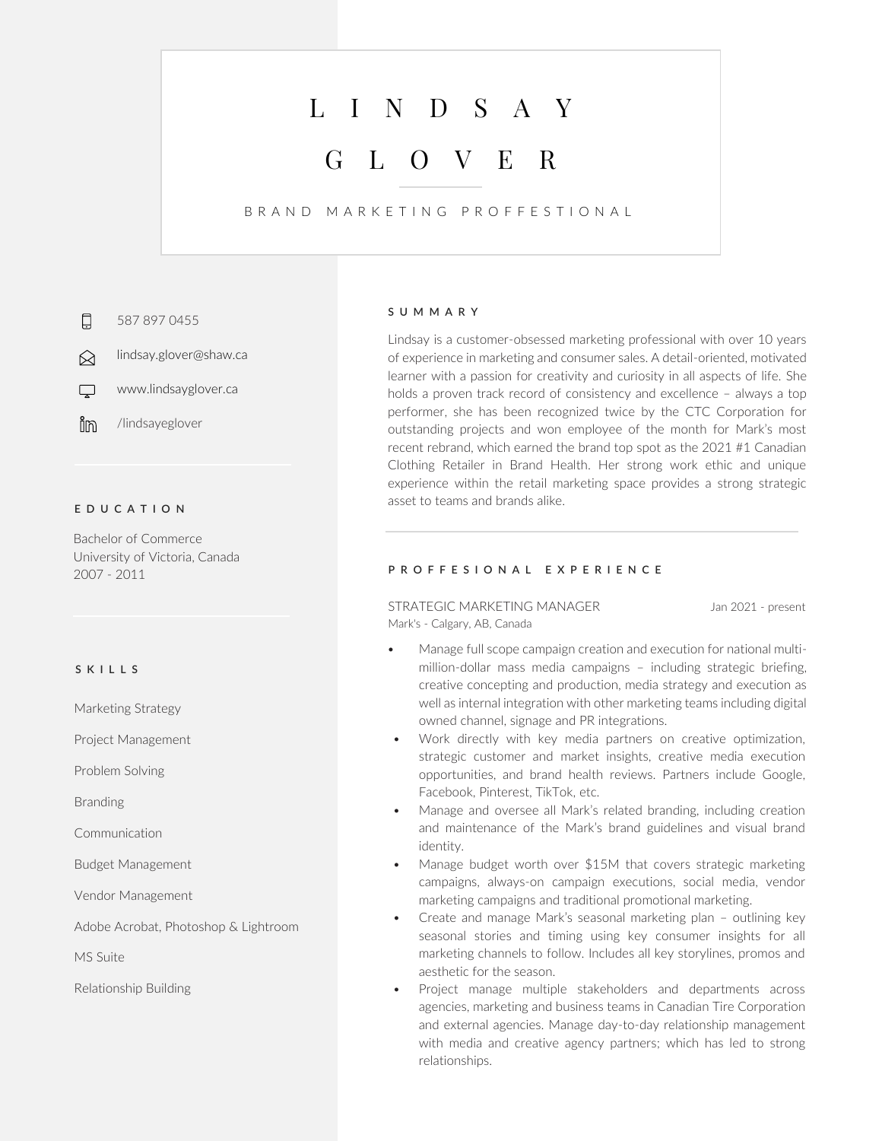# L I N D S A Y

## G L O V E R

## B R A N D M A R K E T I N G P R O F F E S T I O N A L

口 587 897 0455

lindsay.glover@shaw.ca ∞

 $\Box$ www.lindsayglover.ca

ilin /lindsayeglover

## **E D U C A T I O N**

Bachelor of Commerce University of Victoria, Canada 2007 - 2011

### **S K I L L S**

Marketing Strategy

Project Management

Problem Solving

Branding

Communication

Budget Management

Vendor Management

Adobe Acrobat, Photoshop & Lightroom

MS Suite

Relationship Building

#### **S U M M A R Y**

Lindsay is a customer-obsessed marketing professional with over 10 years of experience in marketing and consumer sales. A detail-oriented, motivated learner with a passion for creativity and curiosity in all aspects of life. She holds a proven track record of consistency and excellence – always a top performer, she has been recognized twice by the CTC Corporation for outstanding projects and won employee of the month for Mark's most recent rebrand, which earned the brand top spot as the 2021 #1 Canadian Clothing Retailer in Brand Health. Her strong work ethic and unique experience within the retail marketing space provides a strong strategic asset to teams and brands alike.

## **P R O F F E S I O N A L E X P E R I E N C E**

STRATEGIC MARKETING MANAGER Jan 2021 - present Mark's - Calgary, AB, Canada

- Manage full scope campaign creation and execution for national multimillion-dollar mass media campaigns – including strategic briefing, creative concepting and production, media strategy and execution as well as internal integration with other marketing teams including digital owned channel, signage and PR integrations.
- Work directly with key media partners on creative optimization, strategic customer and market insights, creative media execution opportunities, and brand health reviews. Partners include Google, Facebook, Pinterest, TikTok, etc.
- Manage and oversee all Mark's related branding, including creation and maintenance of the Mark's brand guidelines and visual brand identity.
- Manage budget worth over \$15M that covers strategic marketing campaigns, always-on campaign executions, social media, vendor marketing campaigns and traditional promotional marketing.
- Create and manage Mark's seasonal marketing plan outlining key seasonal stories and timing using key consumer insights for all marketing channels to follow. Includes all key storylines, promos and aesthetic for the season.
- Project manage multiple stakeholders and departments across agencies, marketing and business teams in Canadian Tire Corporation and external agencies. Manage day-to-day relationship management with media and creative agency partners; which has led to strong relationships.